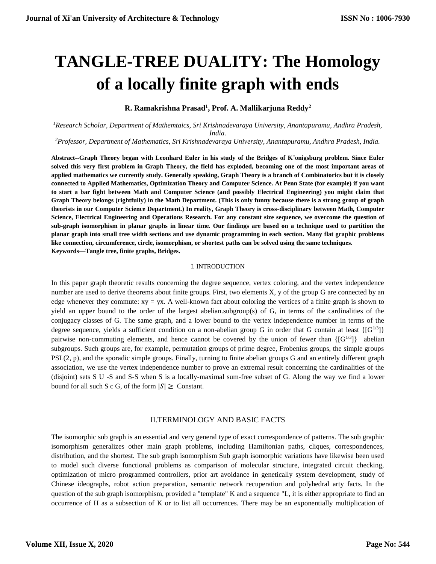# **TANGLE-TREE DUALITY: The Homology of a locally finite graph with ends**

**R. Ramakrishna Prasad<sup>1</sup> , Prof. A. Mallikarjuna Reddy<sup>2</sup>**

*<sup>1</sup>Research Scholar, Department of Mathemtaics, Sri Krishnadevaraya University, Anantapuramu, Andhra Pradesh, India. <sup>2</sup>Professor, Department of Mathematics, Sri Krishnadevaraya University, Anantapuramu, Andhra Pradesh, India.* 

**Abstract--Graph Theory began with Leonhard Euler in his study of the Bridges of K¨onigsburg problem. Since Euler solved this very first problem in Graph Theory, the field has exploded, becoming one of the most important areas of applied mathematics we currently study. Generally speaking, Graph Theory is a branch of Combinatorics but it is closely connected to Applied Mathematics, Optimization Theory and Computer Science. At Penn State (for example) if you want to start a bar fight between Math and Computer Science (and possibly Electrical Engineering) you might claim that Graph Theory belongs (rightfully) in the Math Department. (This is only funny because there is a strong group of graph theorists in our Computer Science Department.) In reality, Graph Theory is cross-disciplinary between Math, Computer Science, Electrical Engineering and Operations Research. For any constant size sequence, we overcome the question of sub-graph isomorphism in planar graphs in linear time. Our findings are based on a technique used to partition the planar graph into small tree width sections and use dynamic programming in each section. Many flat graphic problems like connection, circumference, circle, isomorphism, or shortest paths can be solved using the same techniques. Keywords—Tangle tree, finite graphs, Bridges.**

### I. INTRODUCTION

In this paper graph theoretic results concerning the degree sequence, vertex coloring, and the vertex independence number are used to derive theorems about finite groups. First, two elements X, y of the group G are connected by an edge whenever they commute:  $xy = yx$ . A well-known fact about coloring the vertices of a finite graph is shown to yield an upper bound to the order of the largest abelian.subgroup(s) of G, in terms of the cardinalities of the conjugacy classes of G. The same graph, and a lower bound to the vertex independence number in terms of the degree sequence, yields a sufficient condition on a non-abelian group G in order that G contain at least  $\{[G^{1/3}]\}$ pairwise non-commuting elements, and hence cannot be covered by the union of fewer than  $\{ [G^{1/3}] \}$  abelian subgroups. Such groups are, for example, permutation groups of prime degree, Frobenius groups, the simple groups PSL(2, p), and the sporadic simple groups. Finally, turning to finite abelian groups G and an entirely different graph association, we use the vertex independence number to prove an extremal result concerning the cardinalities of the (disjoint) sets S U -S and S-S when S is a locally-maximal sum-free subset of G. Along the way we find a lower bound for all such S c G, of the form  $|S| \geq$  Constant.

## II.TERMINOLOGY AND BASIC FACTS

The isomorphic sub graph is an essential and very general type of exact correspondence of patterns. The sub graphic isomorphism generalizes other main graph problems, including Hamiltonian paths, cliques, correspondences, distribution, and the shortest. The sub graph isomorphism Sub graph isomorphic variations have likewise been used to model such diverse functional problems as comparison of molecular structure, integrated circuit checking, optimization of micro programmed controllers, prior art avoidance in genetically system development, study of Chinese ideographs, robot action preparation, semantic network recuperation and polyhedral arty facts. In the question of the sub graph isomorphism, provided a "template" K and a sequence "L, it is either appropriate to find an occurrence of H as a subsection of K or to list all occurrences. There may be an exponentially multiplication of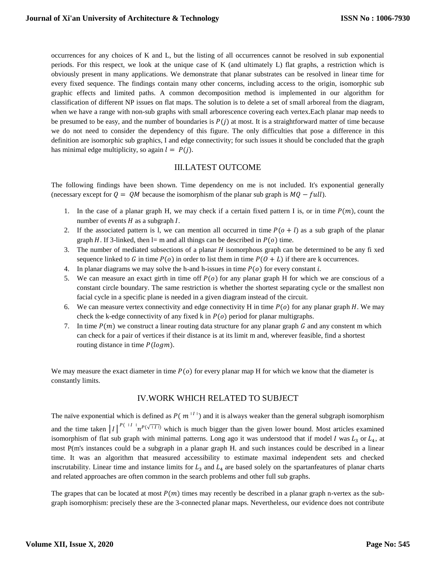occurrences for any choices of K and L, but the listing of all occurrences cannot be resolved in sub exponential periods. For this respect, we look at the unique case of K (and ultimately L) flat graphs, a restriction which is obviously present in many applications. We demonstrate that planar substrates can be resolved in linear time for every fixed sequence. The findings contain many other concerns, including access to the origin, isomorphic sub graphic effects and limited paths. A common decomposition method is implemented in our algorithm for classification of different NP issues on flat maps. The solution is to delete a set of small arboreal from the diagram, when we have a range with non-sub graphs with small arborescence covering each vertex.Each planar map needs to be presumed to be easy, and the number of boundaries is  $P(j)$  at most. It is a straightforward matter of time because we do not need to consider the dependency of this figure. The only difficulties that pose a difference in this definition are isomorphic sub graphics, I and edge connectivity; for such issues it should be concluded that the graph has minimal edge multiplicity, so again  $l = P(j)$ .

## III.LATEST OUTCOME

The following findings have been shown. Time dependency on me is not included. It's exponential generally (necessary except for  $Q = QM$  because the isomorphism of the planar sub graph is  $MQ - full$ ).

- 1. In the case of a planar graph H, we may check if a certain fixed pattern I is, or in time  $P(m)$ , count the number of events  $H$  as a subgraph  $I$ .
- 2. If the associated pattern is 1, we can mention all occurred in time  $P(o + l)$  as a sub graph of the planar graph H. If 3-linked, then  $l=$  m and all things can be described in  $P(o)$  time.
- 3. The number of mediated subsections of a planar  $H$  isomorphous graph can be determined to be any fi xed sequence linked to G in time  $P(o)$  in order to list them in time  $P(O + L)$  if there are k occurrences.
- 4. In planar diagrams we may solve the h-and h-issues in time  $P(o)$  for every constant i.
- 5. We can measure an exact girth in time off  $P(o)$  for any planar graph H for which we are conscious of a constant circle boundary. The same restriction is whether the shortest separating cycle or the smallest non facial cycle in a specific plane is needed in a given diagram instead of the circuit.
- 6. We can measure vertex connectivity and edge connectivity H in time  $P(o)$  for any planar graph H. We may check the k-edge connectivity of any fixed k in  $P(o)$  period for planar multigraphs.
- 7. In time  $P(m)$  we construct a linear routing data structure for any planar graph G and any constent m which can check for a pair of vertices if their distance is at its limit m and, wherever feasible, find a shortest routing distance in time  $P(logm)$ .

We may measure the exact diameter in time  $P(o)$  for every planar map H for which we know that the diameter is constantly limits.

## IV.WORK WHICH RELATED TO SUBJECT

The naïve exponential which is defined as  $P(m^{\perp}I)$  and it is always weaker than the general subgraph isomorphism and the time taken  $|I|^{P(|I|)}$   $n^{P(\sqrt{I|I|})}$  which is much bigger than the given lower bound. Most articles examined isomorphism of flat sub graph with minimal patterns. Long ago it was understood that if model  $I$  was  $L_3$  or  $L_4$ , at most P(m's instances could be a subgraph in a planar graph H. and such instances could be described in a linear time. It was an algorithm that measured accessibility to estimate maximal independent sets and checked inscrutability. Linear time and instance limits for  $L_3$  and  $L_4$  are based solely on the spartanfeatures of planar charts and related approaches are often common in the search problems and other full sub graphs.

The grapes that can be located at most  $P(m)$  times may recently be described in a planar graph n-vertex as the subgraph isomorphism: precisely these are the 3-connected planar maps. Nevertheless, our evidence does not contribute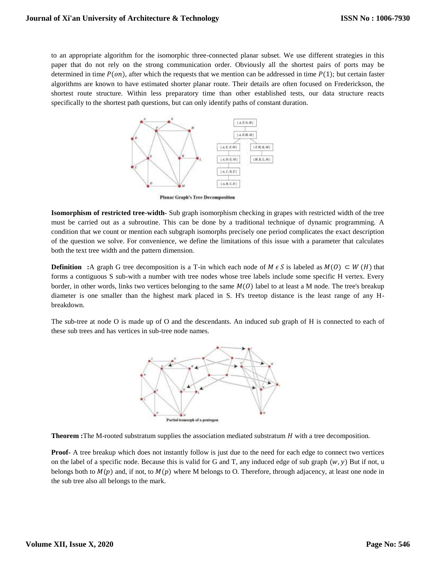to an appropriate algorithm for the isomorphic three-connected planar subset. We use different strategies in this paper that do not rely on the strong communication order. Obviously all the shortest pairs of ports may be determined in time  $P(0n)$ , after which the requests that we mention can be addressed in time  $P(1)$ ; but certain faster algorithms are known to have estimated shorter planar route. Their details are often focused on Frederickson, the shortest route structure. Within less preparatory time than other established tests, our data structure reacts specifically to the shortest path questions, but can only identify paths of constant duration.



**Planar Graph's Tree Decomposition** 

**Isomorphism of restricted tree-width-** Sub graph isomorphism checking in grapes with restricted width of the tree must be carried out as a subroutine. This can be done by a traditional technique of dynamic programming. A condition that we count or mention each subgraph isomorphs precisely one period complicates the exact description of the question we solve. For convenience, we define the limitations of this issue with a parameter that calculates both the text tree width and the pattern dimension.

**Definition** :A graph G tree decomposition is a T-in which each node of  $M \in S$  is labeled as  $M(O) \subset W(H)$  that forms a contiguous S sub-with a number with tree nodes whose tree labels include some specific H vertex. Every border, in other words, links two vertices belonging to the same  $M(O)$  label to at least a M node. The tree's breakup diameter is one smaller than the highest mark placed in S. H's treetop distance is the least range of any Hbreakdown.

The sub-tree at node O is made up of O and the descendants. An induced sub graph of H is connected to each of these sub trees and has vertices in sub-tree node names.





**Proof-** A tree breakup which does not instantly follow is just due to the need for each edge to connect two vertices on the label of a specific node. Because this is valid for G and T, any induced edge of sub graph  $(w, y)$  But if not, u belongs both to  $M(p)$  and, if not, to  $M(p)$  where M belongs to O. Therefore, through adjacency, at least one node in the sub tree also all belongs to the mark.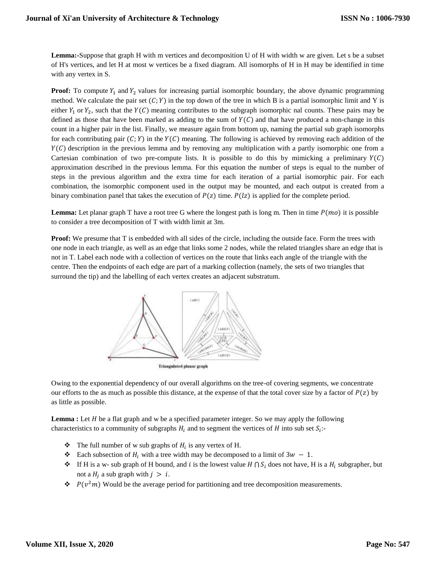**Lemma:-**Suppose that graph H with m vertices and decomposition U of H with width w are given. Let s be a subset of H's vertices, and let H at most w vertices be a fixed diagram. All isomorphs of H in H may be identified in time with any vertex in S.

**Proof:** To compute  $Y_1$  and  $Y_2$  values for increasing partial isomorphic boundary, the above dynamic programming method. We calculate the pair set  $(C; Y)$  in the top down of the tree in which B is a partial isomorphic limit and Y is either  $Y_1$  or  $Y_2$ , such that the  $Y(C)$  meaning contributes to the subgraph isomorphic nal counts. These pairs may be defined as those that have been marked as adding to the sum of  $Y(\mathcal{C})$  and that have produced a non-change in this count in a higher pair in the list. Finally, we measure again from bottom up, naming the partial sub graph isomorphs for each contributing pair  $(C; Y)$  in the  $Y(C)$  meaning. The following is achieved by removing each addition of the  $Y(\mathcal{C})$  description in the previous lemma and by removing any multiplication with a partly isomorphic one from a Cartesian combination of two pre-compute lists. It is possible to do this by mimicking a preliminary  $Y(C)$ approximation described in the previous lemma. For this equation the number of steps is equal to the number of steps in the previous algorithm and the extra time for each iteration of a partial isomorphic pair. For each combination, the isomorphic component used in the output may be mounted, and each output is created from a binary combination panel that takes the execution of  $P(z)$  time.  $P(lz)$  is applied for the complete period.

**Lemma:** Let planar graph T have a root tree G where the longest path is long m. Then in time  $P(mo)$  it is possible to consider a tree decomposition of T with width limit at 3m.

**Proof:** We presume that T is embedded with all sides of the circle, including the outside face. Form the trees with one node in each triangle, as well as an edge that links some 2 nodes, while the related triangles share an edge that is not in T. Label each node with a collection of vertices on the route that links each angle of the triangle with the centre. Then the endpoints of each edge are part of a marking collection (namely, the sets of two triangles that surround the tip) and the labelling of each vertex creates an adjacent substratum.



Owing to the exponential dependency of our overall algorithms on the tree-of covering segments, we concentrate our efforts to the as much as possible this distance, at the expense of that the total cover size by a factor of  $P(z)$  by as little as possible.

**Lemma :** Let *H* be a flat graph and w be a specified parameter integer. So we may apply the following characteristics to a community of subgraphs  $H_i$  and to segment the vertices of H into sub set  $S_i$ :

- $\bullet$  The full number of w sub graphs of  $H_i$  is any vertex of H.
- $\div$  Each subsection of  $H_i$  with a tree width may be decomposed to a limit of 3w − 1.
- $\bullet$  If H is a w- sub graph of H bound, and *i* is the lowest value  $H \cap S_i$  does not have, H is a  $H_i$  subgrapher, but not a  $H_i$  a sub graph with  $j > i$ .
- $\cdot \cdot$   $P(v^2m)$  Would be the average period for partitioning and tree decomposition measurements.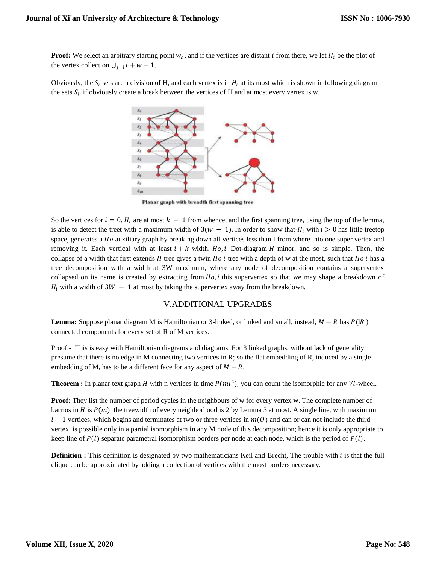**Proof:** We select an arbitrary starting point  $w_0$ , and if the vertices are distant *i* from there, we let  $H_i$  be the plot of the vertex collection  $\bigcup_{j=i} i + w - 1$ .

Obviously, the  $S_i$  sets are a division of H, and each vertex is in  $H_i$  at its most which is shown in following diagram the sets  $S_i$  if obviously create a break between the vertices of H and at most every vertex is w.



Planar graph with breadth first spanning tree

So the vertices for  $i = 0$ ,  $H_i$  are at most  $k - 1$  from whence, and the first spanning tree, using the top of the lemma, is able to detect the treet with a maximum width of  $3(w - 1)$ . In order to show that- $H_i$  with  $i > 0$  has little treetop space, generates a  $Ho$  auxiliary graph by breaking down all vertices less than I from where into one super vertex and removing it. Each vertical with at least  $i + k$  width. Ho, i Dot-diagram H minor, and so is simple. Then, the collapse of a width that first extends  $H$  tree gives a twin  $H_0$  i tree with a depth of w at the most, such that  $H_0$  i has a tree decomposition with a width at 3W maximum, where any node of decomposition contains a supervertex collapsed on its name is created by extracting from  $Ho, i$  this supervertex so that we may shape a breakdown of  $H_i$  with a width of 3 $W - 1$  at most by taking the supervertex away from the breakdown.

## V.ADDITIONAL UPGRADES

**Lemma:** Suppose planar diagram M is Hamiltonian or 3-linked, or linked and small, instead,  $M - R$  has  $P(|R|)$ connected components for every set of R of M vertices.

Proof:- This is easy with Hamiltonian diagrams and diagrams. For 3 linked graphs, without lack of generality, presume that there is no edge in M connecting two vertices in R; so the flat embedding of R, induced by a single embedding of M, has to be a different face for any aspect of  $M - R$ .

**Theorem :** In planar text graph H with n vertices in time  $P(ml^2)$ , you can count the isomorphic for any  $VI$ -wheel.

**Proof:** They list the number of period cycles in the neighbours of w for every vertex w. The complete number of barrios in  $H$  is  $P(m)$ , the treewidth of every neighborhood is 2 by Lemma 3 at most. A single line, with maximum  $l-1$  vertices, which begins and terminates at two or three vertices in  $m(0)$  and can or can not include the third vertex, is possible only in a partial isomorphism in any M node of this decomposition; hence it is only appropriate to keep line of  $P(l)$  separate parametral isomorphism borders per node at each node, which is the period of  $P(l)$ .

**Definition :** This definition is designated by two mathematicians Keil and Brecht, The trouble with *i* is that the full clique can be approximated by adding a collection of vertices with the most borders necessary.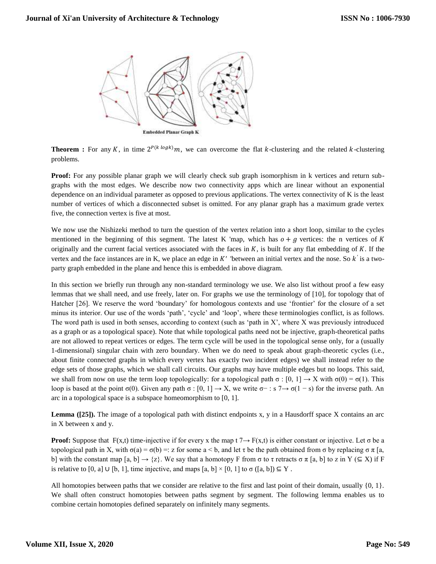

**Theorem :** For any K, in time  $2^{P(k \log k)}m$ , we can overcome the flat k-clustering and the related k-clustering problems.

**Proof:** For any possible planar graph we will clearly check sub graph isomorphism in k vertices and return subgraphs with the most edges. We describe now two connectivity apps which are linear without an exponential dependence on an individual parameter as opposed to previous applications. The vertex connectivity of K is the least number of vertices of which a disconnected subset is omitted. For any planar graph has a maximum grade vertex five, the connection vertex is five at most.

We now use the Nishizeki method to turn the question of the vertex relation into a short loop, similar to the cycles mentioned in the beginning of this segment. The latest K 'map, which has  $o + g$  vertices: the n vertices of K originally and the current facial vertices associated with the faces in  $K$ , is built for any flat embedding of  $K$ . If the vertex and the face instances are in K, we place an edge in  $K'$  'between an initial vertex and the nose. So  $k'$  is a twoparty graph embedded in the plane and hence this is embedded in above diagram.

In this section we briefly run through any non-standard terminology we use. We also list without proof a few easy lemmas that we shall need, and use freely, later on. For graphs we use the terminology of [10], for topology that of Hatcher [26]. We reserve the word 'boundary' for homologous contexts and use 'frontier' for the closure of a set minus its interior. Our use of the words 'path', 'cycle' and 'loop', where these terminologies conflict, is as follows. The word path is used in both senses, according to context (such as 'path in X', where X was previously introduced as a graph or as a topological space). Note that while topological paths need not be injective, graph-theoretical paths are not allowed to repeat vertices or edges. The term cycle will be used in the topological sense only, for a (usually 1-dimensional) singular chain with zero boundary. When we do need to speak about graph-theoretic cycles (i.e., about finite connected graphs in which every vertex has exactly two incident edges) we shall instead refer to the edge sets of those graphs, which we shall call circuits. Our graphs may have multiple edges but no loops. This said, we shall from now on use the term loop topologically: for a topological path  $\sigma$  : [0, 1]  $\rightarrow$  X with  $\sigma$ (0) =  $\sigma$ (1). This loop is based at the point  $\sigma(0)$ . Given any path  $\sigma$  :  $[0, 1] \to X$ , we write  $\sigma$  – : s 7→  $\sigma(1 - s)$  for the inverse path. An arc in a topological space is a subspace homeomorphism to [0, 1].

**Lemma ([25]).** The image of a topological path with distinct endpoints x, y in a Hausdorff space X contains an arc in X between x and y.

**Proof:** Suppose that  $F(x,t)$  time-injective if for every x the map  $t \rightarrow F(x,t)$  is either constant or injective. Let  $\sigma$  be a topological path in X, with  $\sigma(a) = \sigma(b) =: z$  for some  $a < b$ , and let τ be the path obtained from  $\sigma$  by replacing  $\sigma \pi$  [a, b] with the constant map  $[a, b] \rightarrow \{z\}$ . We say that a homotopy F from  $\sigma$  to  $\tau$  retracts  $\sigma \pi$   $[a, b]$  to  $z$  in  $Y \subseteq X$ ) if F is relative to [0, a] ∪ [b, 1], time injective, and maps [a, b]  $\times$  [0, 1] to  $\sigma$  ([a, b])  $\subseteq$  Y.

All homotopies between paths that we consider are relative to the first and last point of their domain, usually {0, 1}. We shall often construct homotopies between paths segment by segment. The following lemma enables us to combine certain homotopies defined separately on infinitely many segments.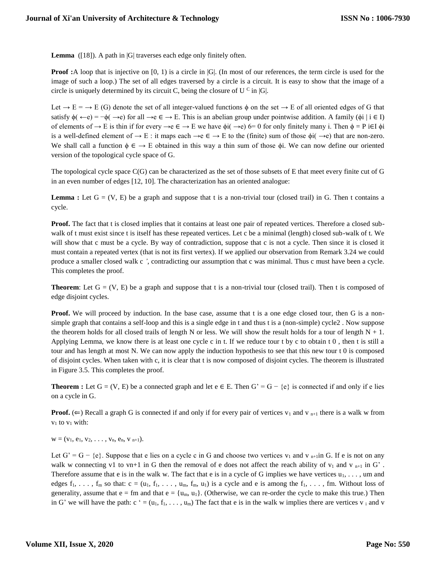Lemma ([18]). A path in |G| traverses each edge only finitely often.

**Proof :**A loop that is injective on [0, 1) is a circle in [G]. (In most of our references, the term circle is used for the image of such a loop.) The set of all edges traversed by a circle is a circuit. It is easy to show that the image of a circle is uniquely determined by its circuit C, being the closure of U  $\text{C}$  in  $|G|$ .

Let  $\rightarrow$  E =  $\rightarrow$  E (G) denote the set of all integer-valued functions  $\phi$  on the set  $\rightarrow$  E of all oriented edges of G that satisfy  $\phi$ ( ←e) =  $-\phi$ ( →e) for all →e  $\epsilon \rightarrow E$ . This is an abelian group under pointwise addition. A family ( $\phi$ i | i  $\epsilon$  I) of elements of  $\rightarrow$  E is thin if for every  $\rightarrow$  e  $\in$   $\rightarrow$  E we have  $\phi$ i( $\rightarrow$ e) 6= 0 for only finitely many i. Then  $\phi$  = P i $\in$ I  $\phi$ i is a well-defined element of  $\rightarrow$  E : it maps each  $\rightarrow$  E  $\leftarrow$  E to the (finite) sum of those  $\phi$ i( $\rightarrow$ e) that are non-zero. We shall call a function  $\phi \in \to E$  obtained in this way a thin sum of those  $\phi$ i. We can now define our oriented version of the topological cycle space of G.

The topological cycle space C(G) can be characterized as the set of those subsets of E that meet every finite cut of G in an even number of edges [12, 10]. The characterization has an oriented analogue:

**Lemma :** Let  $G = (V, E)$  be a graph and suppose that t is a non-trivial tour (closed trail) in G. Then t contains a cycle.

**Proof.** The fact that t is closed implies that it contains at least one pair of repeated vertices. Therefore a closed subwalk of t must exist since t is itself has these repeated vertices. Let c be a minimal (length) closed sub-walk of t. We will show that c must be a cycle. By way of contradiction, suppose that c is not a cycle. Then since it is closed it must contain a repeated vertex (that is not its first vertex). If we applied our observation from Remark 3.24 we could produce a smaller closed walk c *'*, contradicting our assumption that c was minimal. Thus c must have been a cycle. This completes the proof.

**Theorem:** Let  $G = (V, E)$  be a graph and suppose that t is a non-trivial tour (closed trail). Then t is composed of edge disjoint cycles.

**Proof.** We will proceed by induction. In the base case, assume that t is a one edge closed tour, then G is a nonsimple graph that contains a self-loop and this is a single edge in t and thus t is a (non-simple) cycle2 . Now suppose the theorem holds for all closed trails of length N or less. We will show the result holds for a tour of length  $N + 1$ . Applying Lemma, we know there is at least one cycle c in t. If we reduce tour t by c to obtain t 0 , then t is still a tour and has length at most N. We can now apply the induction hypothesis to see that this new tour t 0 is composed of disjoint cycles. When taken with c, it is clear that t is now composed of disjoint cycles. The theorem is illustrated in Figure 3.5. This completes the proof.

**Theorem :** Let  $G = (V, E)$  be a connected graph and let  $e \in E$ . Then  $G' = G - \{e\}$  is connected if and only if e lies on a cycle in G.

**Proof.** ( $\Leftarrow$ ) Recall a graph G is connected if and only if for every pair of vertices v<sub>1</sub> and v <sub>n+1</sub> there is a walk w from v<sup>1</sup> to v<sup>1</sup> with:

 $W = (V_1, e_1, V_2, \ldots, V_n, e_n, V_{n+1}).$ 

Let  $G' = G - \{e\}$ . Suppose that e lies on a cycle c in G and choose two vertices v<sub>1</sub> and v <sub>n+1</sub>in G. If e is not on any walk w connecting v1 to vn+1 in G then the removal of e does not affect the reach ability of  $v_1$  and  $v_{n+1}$  in G'. Therefore assume that e is in the walk w. The fact that e is in a cycle of G implies we have vertices  $u_1, \ldots, u_m$  and edges  $f_1, \ldots, f_m$  so that:  $c = (u_1, f_1, \ldots, u_m, f_m, u_1)$  is a cycle and e is among the  $f_1, \ldots, f_m$ . Without loss of generality, assume that  $e = fm$  and that  $e = \{u_m, u_1\}$ . (Otherwise, we can re-order the cycle to make this true.) Then in G' we will have the path:  $c^* = (u_1, f_1, \ldots, u_m)$  The fact that e is in the walk w implies there are vertices  $v_i$  and v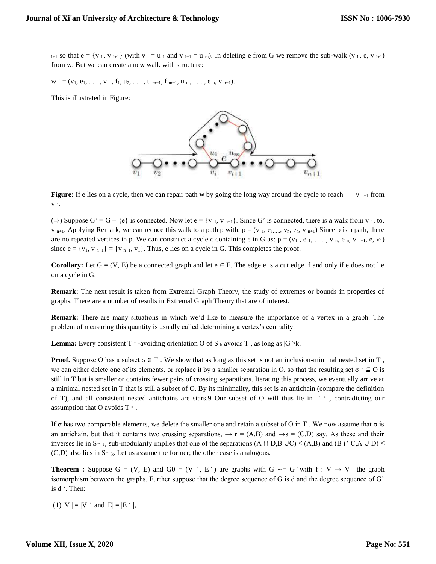$i_{+1}$  so that  $e = \{v_i, v_{i+1}\}$  (with  $v_i = u_{1}$  and  $v_{i+1} = u_{m}$ ). In deleting e from G we remove the sub-walk  $(v_i, e, v_{i+1})$ from w. But we can create a new walk with structure:

$$
w^{\prime} = (v_1, e_1, \ldots, v_i, f_1, u_2, \ldots, u_{m-1}, f_{m-1}, u_m, \ldots, e_n, v_{n+1}).
$$

This is illustrated in Figure:



**Figure:** If e lies on a cycle, then we can repair path w by going the long way around the cycle to reach  $v_{n+1}$  from v 1.

(⇒) Suppose G' = G - {e} is connected. Now let e = {v <sub>1</sub>, v <sub>n+1</sub>}. Since G' is connected, there is a walk from v <sub>1</sub>, to,  $v_{n+1}$ . Applying Remark, we can reduce this walk to a path p with:  $p = (v_1, e_1, ..., v_n, e_n, v_{n+1})$  Since p is a path, there are no repeated vertices in p. We can construct a cycle c containing e in G as:  $p = (v_1, e_1, \ldots, v_n, e_n, v_{n+1}, e, v_1)$ since  $e = \{v_1, v_{n+1}\} = \{v_{n+1}, v_1\}$ . Thus, e lies on a cycle in G. This completes the proof.

**Corollary:** Let  $G = (V, E)$  be a connected graph and let  $e \in E$ . The edge e is a cut edge if and only if e does not lie on a cycle in G.

**Remark:** The next result is taken from Extremal Graph Theory, the study of extremes or bounds in properties of graphs. There are a number of results in Extremal Graph Theory that are of interest.

**Remark:** There are many situations in which we'd like to measure the importance of a vertex in a graph. The problem of measuring this quantity is usually called determining a vertex's centrality.

**Lemma:** Every consistent T  $*$  -avoiding orientation O of S  $_k$  avoids T, as long as  $|G|\geq k$ .

**Proof.** Suppose O has a subset  $\sigma \in T$ . We show that as long as this set is not an inclusion-minimal nested set in T, we can either delete one of its elements, or replace it by a smaller separation in O, so that the resulting set  $\sigma \in O$  is still in T but is smaller or contains fewer pairs of crossing separations. Iterating this process, we eventually arrive at a minimal nested set in T that is still a subset of O. By its minimality, this set is an antichain (compare the definition of T), and all consistent nested antichains are stars.9 Our subset of O will thus lie in T <sup>∗</sup> , contradicting our assumption that O avoids T <sup>∗</sup> .

If σ has two comparable elements, we delete the smaller one and retain a subset of O in T . We now assume that σ is an antichain, but that it contains two crossing separations,  $\rightarrow r = (A,B)$  and  $\rightarrow s = (C,D)$  say. As these and their inverses lie in S~ k, sub-modularity implies that one of the separations (A ∩ D,B ∪C)  $\leq$  (A,B) and (B ∩ C,A ∪ D)  $\leq$  $(C,D)$  also lies in  $S_{\sim k}$ . Let us assume the former; the other case is analogous.

**Theorem :** Suppose  $G = (V, E)$  and  $G0 = (V', E')$  are graphs with  $G \sim = G'$  with  $f : V \to V'$  the graph isomorphism between the graphs. Further suppose that the degree sequence of G is d and the degree sequence of G' is d '. Then:

(1)  $|V| = |V'|$  and  $|E| = |E'|$ ,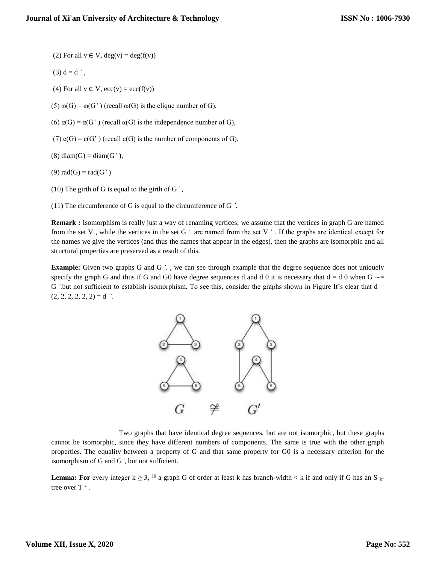- (2) For all  $v \in V$ ,  $deg(v) = deg(f(v))$
- $(3) d = d'$ ,
- (4) For all  $v \in V$ ,  $ecc(v) = ecc(f(v))$
- (5)  $\omega(G) = \omega(G')$  (recall  $\omega(G)$  is the clique number of G),
- (6)  $\alpha(G) = \alpha(G')$  (recall  $\alpha(G)$  is the independence number of G),
- (7)  $c(G) = c(G')$  (recall  $c(G)$  is the number of components of G),
- (8) diam(G) = diam(G*'* ),
- $(9) rad(G) = rad(G')$
- (10) The girth of G is equal to the girth of G*'* ,
- (11) The circumference of G is equal to the circumference of G *'*.

**Remark :** Isomorphism is really just a way of renaming vertices; we assume that the vertices in graph G are named from the set V , while the vertices in the set G *'*. are named from the set V ' . If the graphs are identical except for the names we give the vertices (and thus the names that appear in the edges), then the graphs are isomorphic and all structural properties are preserved as a result of this.

**Example:** Given two graphs G and G *'*. , we can see through example that the degree sequence does not uniquely specify the graph G and thus if G and G0 have degree sequences d and d 0 it is necessary that  $d = d$  0 when G  $\sim$ = G '.but not sufficient to establish isomorphism. To see this, consider the graphs shown in Figure It's clear that  $d =$  $(2, 2, 2, 2, 2, 2) = d'$ .



 Two graphs that have identical degree sequences, but are not isomorphic, but these graphs cannot be isomorphic, since they have different numbers of components. The same is true with the other graph properties. The equality between a property of G and that same property for G0 is a necessary criterion for the isomorphism of G and G*'*, but not sufficient.

**Lemma: For** every integer  $k \ge 3$ , <sup>10</sup> a graph G of order at least k has branch-width < k if and only if G has an S  $_{k}$ tree over T <sup>∗</sup> .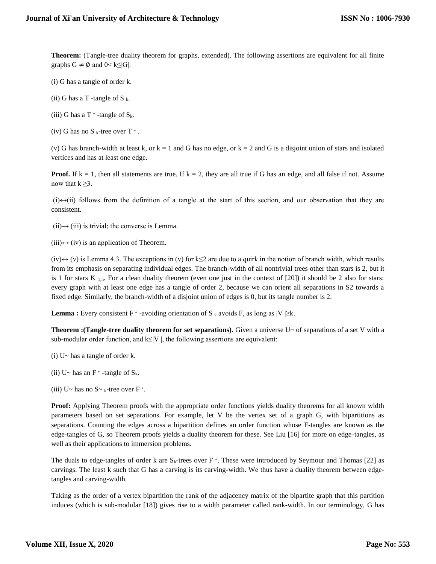**Theorem:** (Tangle-tree duality theorem for graphs, extended). The following assertions are equivalent for all finite graphs  $G \neq \emptyset$  and  $0 < k \leq |G|$ :

- (i) G has a tangle of order k.
- (ii) G has a T -tangle of S  $_k$ .
- (iii) G has a T  $*$  -tangle of  $S_k$ .
- (iv) G has no S  $_k$ -tree over T  $*$ .

(v) G has branch-width at least k, or  $k = 1$  and G has no edge, or  $k = 2$  and G is a disjoint union of stars and isolated vertices and has at least one edge.

**Proof.** If  $k = 1$ , then all statements are true. If  $k = 2$ , they are all true if G has an edge, and all false if not. Assume now that  $k \geq 3$ .

 $(i) \leftrightarrow (ii)$  follows from the definition of a tangle at the start of this section, and our observation that they are consistent.

 $(ii) \rightarrow (iii)$  is trivial; the converse is Lemma.

 $(iii) \leftrightarrow (iv)$  is an application of Theorem.

 $(iv) \leftrightarrow (v)$  is Lemma 4.3. The exceptions in (v) for k $\leq 2$  are due to a quirk in the notion of branch width, which results from its emphasis on separating individual edges. The branch-width of all nontrivial trees other than stars is 2, but it is 1 for stars K  $_{1,n}$ . For a clean duality theorem (even one just in the context of [20]) it should be 2 also for stars: every graph with at least one edge has a tangle of order 2, because we can orient all separations in S2 towards a fixed edge. Similarly, the branch-width of a disjoint union of edges is 0, but its tangle number is 2.

**Lemma :** Every consistent F  $*$  -avoiding orientation of S  $_k$  avoids F, as long as  $|V| \geq k$ .

**Theorem :(Tangle-tree duality theorem for set separations).** Given a universe U~ of separations of a set V with a sub-modular order function, and  $k \leq |V|$ , the following assertions are equivalent:

- (i) U~ has a tangle of order k.
- (ii) U~ has an F  $*$  -tangle of  $S_k$ .
- (iii) U~ has no  $S~$ <sub>k</sub>-tree over F  $*$ .

**Proof:** Applying Theorem proofs with the appropriate order functions yields duality theorems for all known width parameters based on set separations. For example, let V be the vertex set of a graph G, with bipartitions as separations. Counting the edges across a bipartition defines an order function whose F-tangles are known as the edge-tangles of G, so Theorem proofs yields a duality theorem for these. See Liu [16] for more on edge-tangles, as well as their applications to immersion problems.

The duals to edge-tangles of order k are  $S_k$ -trees over F  $*$ . These were introduced by Seymour and Thomas [22] as carvings. The least k such that G has a carving is its carving-width. We thus have a duality theorem between edgetangles and carving-width.

Taking as the order of a vertex bipartition the rank of the adjacency matrix of the bipartite graph that this partition induces (which is sub-modular [18]) gives rise to a width parameter called rank-width. In our terminology, G has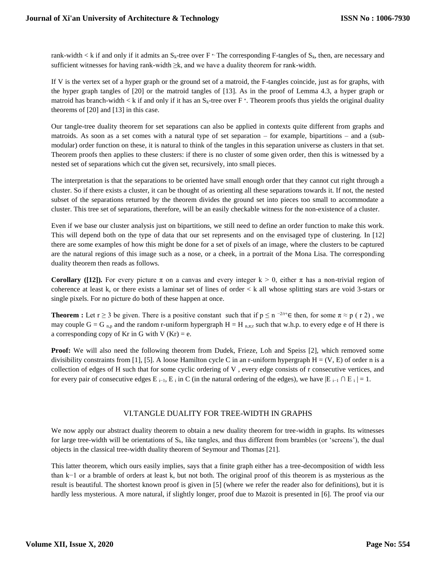rank-width  $\lt k$  if and only if it admits an  $S_k$ -tree over F  $^*$ . The corresponding F-tangles of  $S_k$ , then, are necessary and sufficient witnesses for having rank-width ≥k, and we have a duality theorem for rank-width.

If V is the vertex set of a hyper graph or the ground set of a matroid, the F-tangles coincide, just as for graphs, with the hyper graph tangles of [20] or the matroid tangles of [13]. As in the proof of Lemma 4.3, a hyper graph or matroid has branch-width  $\lt k$  if and only if it has an S<sub>k</sub>-tree over F  $*$ . Theorem proofs thus yields the original duality theorems of [20] and [13] in this case.

Our tangle-tree duality theorem for set separations can also be applied in contexts quite different from graphs and matroids. As soon as a set comes with a natural type of set separation – for example, bipartitions – and a (submodular) order function on these, it is natural to think of the tangles in this separation universe as clusters in that set. Theorem proofs then applies to these clusters: if there is no cluster of some given order, then this is witnessed by a nested set of separations which cut the given set, recursively, into small pieces.

The interpretation is that the separations to be oriented have small enough order that they cannot cut right through a cluster. So if there exists a cluster, it can be thought of as orienting all these separations towards it. If not, the nested subset of the separations returned by the theorem divides the ground set into pieces too small to accommodate a cluster. This tree set of separations, therefore, will be an easily checkable witness for the non-existence of a cluster.

Even if we base our cluster analysis just on bipartitions, we still need to define an order function to make this work. This will depend both on the type of data that our set represents and on the envisaged type of clustering. In [12] there are some examples of how this might be done for a set of pixels of an image, where the clusters to be captured are the natural regions of this image such as a nose, or a cheek, in a portrait of the Mona Lisa. The corresponding duality theorem then reads as follows.

**Corollary ([12]).** For every picture  $\pi$  on a canvas and every integer  $k > 0$ , either  $\pi$  has a non-trivial region of coherence at least k, or there exists a laminar set of lines of order < k all whose splitting stars are void 3-stars or single pixels. For no picture do both of these happen at once.

**Theorem :** Let  $r \ge 3$  be given. There is a positive constant such that if  $p \le n^{-2/r} \in$  then, for some  $\pi \approx p$  ( r 2), we may couple  $G = G_{n,p}$  and the random r-uniform hypergraph  $H = H_{n,\pi,r}$  such that w.h.p. to every edge e of H there is a corresponding copy of Kr in G with V  $(Kr) = e$ .

**Proof:** We will also need the following theorem from Dudek, Frieze, Loh and Speiss [2], which removed some divisibility constraints from [1], [5]. A loose Hamilton cycle C in an r-uniform hypergraph  $H = (V, E)$  of order n is a collection of edges of H such that for some cyclic ordering of V , every edge consists of r consecutive vertices, and for every pair of consecutive edges E i−1, E i in C (in the natural ordering of the edges), we have  $|E_{i-1} \cap E_i| = 1$ .

# VI.TANGLE DUALITY FOR TREE-WIDTH IN GRAPHS

We now apply our abstract duality theorem to obtain a new duality theorem for tree-width in graphs. Its witnesses for large tree-width will be orientations of  $S_k$ , like tangles, and thus different from brambles (or 'screens'), the dual objects in the classical tree-width duality theorem of Seymour and Thomas [21].

This latter theorem, which ours easily implies, says that a finite graph either has a tree-decomposition of width less than k−1 or a bramble of orders at least k, but not both. The original proof of this theorem is as mysterious as the result is beautiful. The shortest known proof is given in [5] (where we refer the reader also for definitions), but it is hardly less mysterious. A more natural, if slightly longer, proof due to Mazoit is presented in [6]. The proof via our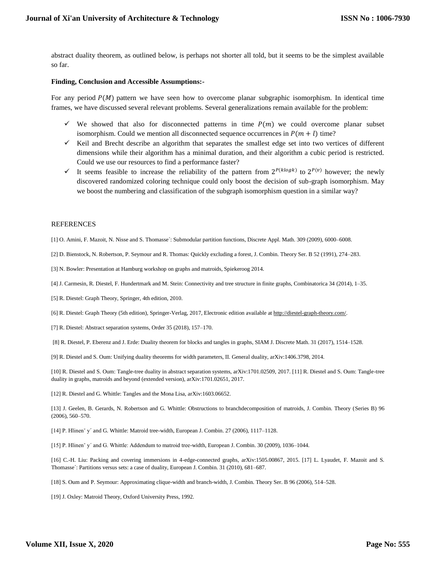abstract duality theorem, as outlined below, is perhaps not shorter all told, but it seems to be the simplest available so far.

#### **Finding, Conclusion and Accessible Assumptions:-**

For any period  $P(M)$  pattern we have seen how to overcome planar subgraphic isomorphism. In identical time frames, we have discussed several relevant problems. Several generalizations remain available for the problem:

- $\checkmark$  We showed that also for disconnected patterns in time  $P(m)$  we could overcome planar subset isomorphism. Could we mention all disconnected sequence occurrences in  $P(m + l)$  time?
- $\checkmark$  Keil and Brecht describe an algorithm that separates the smallest edge set into two vertices of different dimensions while their algorithm has a minimal duration, and their algorithm a cubic period is restricted. Could we use our resources to find a performance faster?
- It seems feasible to increase the reliability of the pattern from  $2^{P(klog k)}$  to  $2^{P(v)}$  however; the newly discovered randomized coloring technique could only boost the decision of sub-graph isomorphism. May we boost the numbering and classification of the subgraph isomorphism question in a similar way?

#### REFERENCES

- [1] O. Amini, F. Mazoit, N. Nisse and S. Thomasse´: Submodular partition functions, Discrete Appl. Math. 309 (2009), 6000–6008.
- [2] D. Bienstock, N. Robertson, P. Seymour and R. Thomas: Quickly excluding a forest, J. Combin. Theory Ser. B 52 (1991), 274–283.
- [3] N. Bowler: Presentation at Hamburg workshop on graphs and matroids, Spiekeroog 2014.
- [4] J. Carmesin, R. Diestel, F. Hundertmark and M. Stein: Connectivity and tree structure in finite graphs, Combinatorica 34 (2014), 1–35.
- [5] R. Diestel: Graph Theory, Springer, 4th edition, 2010.
- [6] R. Diestel: Graph Theory (5th edition), Springer-Verlag, 2017, Electronic edition available a[t http://diestel-graph-theory.com/.](http://diestel-graph-theory.com/)
- [7] R. Diestel: Abstract separation systems, Order 35 (2018), 157–170.
- [8] R. Diestel, P. Eberenz and J. Erde: Duality theorem for blocks and tangles in graphs, SIAM J. Discrete Math. 31 (2017), 1514–1528.

[9] R. Diestel and S. Oum: Unifying duality theorems for width parameters, II. General duality, arXiv:1406.3798, 2014.

[10] R. Diestel and S. Oum: Tangle-tree duality in abstract separation systems, arXiv:1701.02509, 2017. [11] R. Diestel and S. Oum: Tangle-tree duality in graphs, matroids and beyond (extended version), arXiv:1701.02651, 2017.

[12] R. Diestel and G. Whittle: Tangles and the Mona Lisa, arXiv:1603.06652.

[13] J. Geelen, B. Gerards, N. Robertson and G. Whittle: Obstructions to branchdecomposition of matroids, J. Combin. Theory (Series B) 96 (2006), 560–570.

[14] P. Hlinen<sup>x</sup> y' and G. Whittle: Matroid tree-width, European J. Combin. 27 (2006), 1117-1128.

[15] P. Hlinen<sup>y</sup> y' and G. Whittle: Addendum to matroid tree-width, European J. Combin. 30 (2009), 1036–1044.

[16] C.-H. Liu: Packing and covering immersions in 4-edge-connected graphs, arXiv:1505.00867, 2015. [17] L. Lyaudet, F. Mazoit and S. Thomasse´: Partitions versus sets: a case of duality, European J. Combin. 31 (2010), 681–687.

- [18] S. Oum and P. Seymour: Approximating clique-width and branch-width, J. Combin. Theory Ser. B 96 (2006), 514–528.
- [19] J. Oxley: Matroid Theory, Oxford University Press, 1992.